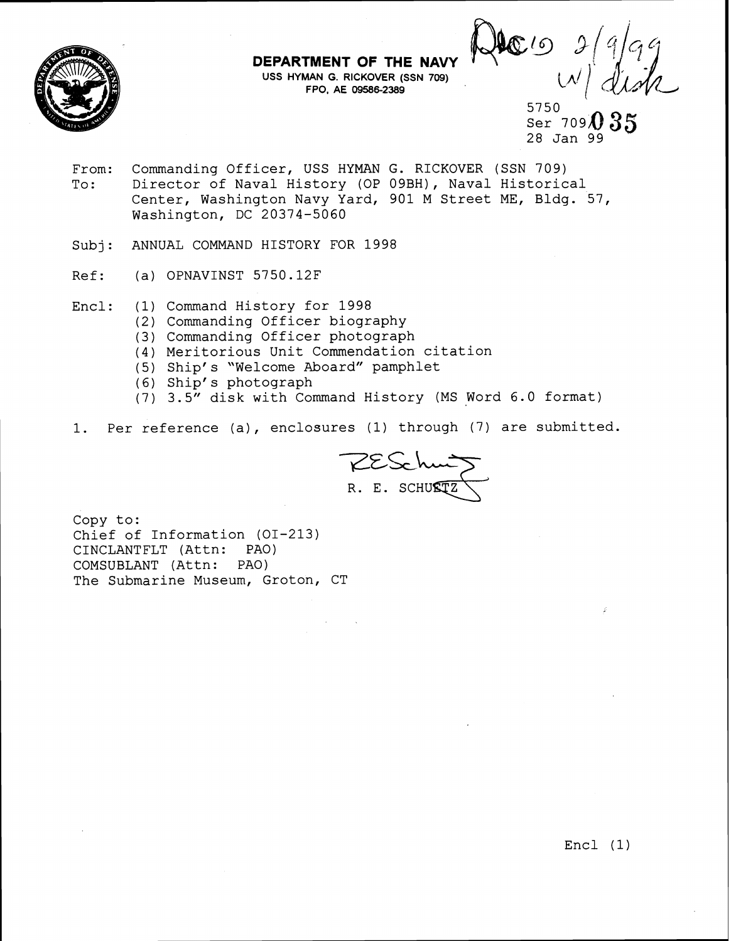

**DEPARTMENT OF THE NAVY USS HYMAN G. RICKOVER (SSN 709) FPO, AE 095862389** 

 $\mathbb{C}^{l}$ 

5750 Ser  $709<sub>4</sub>$ 28 Jan 99

- From: Commanding Officer, USS HYMAN G. RICKOVER (SSN 709) To: Director of Naval History (OP 09BH), Naval Historical Center, Washington Navy Yard, 901 M Street ME, Bldg. 57, Washington, DC 20374-5060
- Subj: ANNUAL COMMAND HISTORY FOR 1998
- Ref: (a) OPNAVINST 5750.12F
- Encl: (1) Command History for 1998
	- (2) Commanding Officer biography
	- (3) Commanding Officer photograph
	- (4) Meritorious Unit Commendation citation
	- (5) Ship's "Welcome Aboard" pamphlet
	- ( 6) Ship' s photograph
	- (7) 3.5" disk with Command History (MS Word 6.0 format)
- 1. Per reference (a), enclosures (1) through (7) are submitted.

RESchung<br>R. E. SCHU**ETZ** 

Copy to: Chief of Information (01-213) CINCLANTFLT (Attn: PAO) COMSUBLANT (Attn: PAO) The Submarine Museum, Groton, CT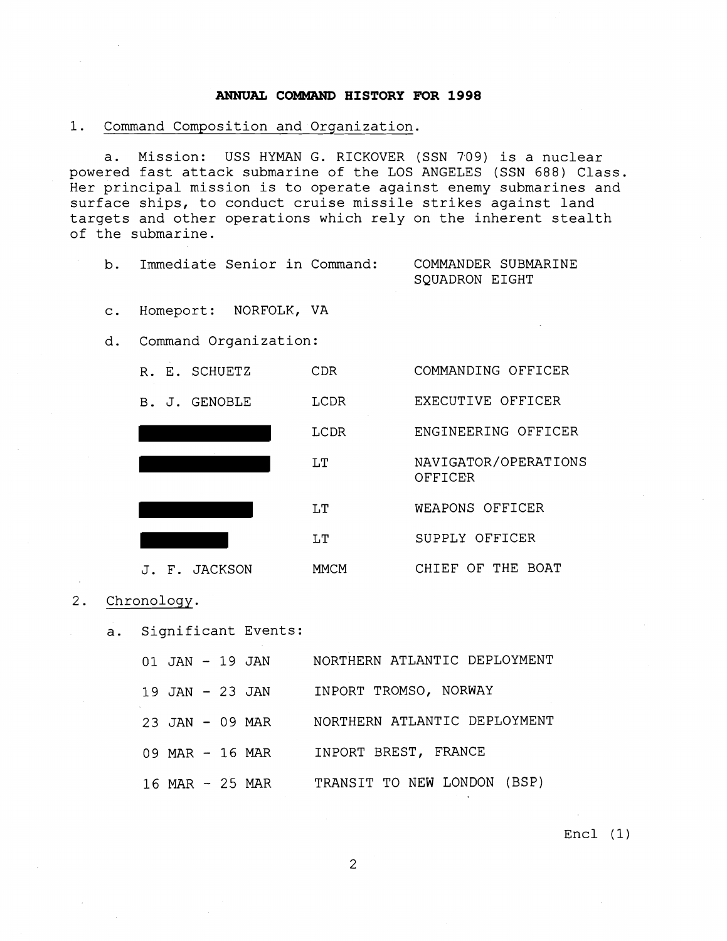## **ANNUAL COMMAND HISTORY FOR 1998**

1. Command Composition and Organization.

a. Mission: USS HYMAN G. RICKOVER (SSN 709) is a nuclear powered fast attack submarine of the LOS ANGELES (SSN 688) Class. Her principal mission is to operate against enemy submarines and surface ships, to conduct cruise missile strikes against land targets and other operations which rely on the inherent stealth of the submarine.

b. Immediate Senior in Command: COMMANDER SUBMARINE SQUADRON EIGHT

c. Homeport: NORFOLK, VA

d. Command Organization:

| R. | E. SCHUETZ | CDR  | COMMANDING OFFICER              |
|----|------------|------|---------------------------------|
| В. | J. GENOBLE | LCDR | EXECUTIVE OFFICER               |
|    |            | LCDR | ENGINEERING OFFICER             |
|    |            | LT   | NAVIGATOR/OPERATIONS<br>OFFICER |
|    |            | LT   | WEAPONS OFFICER                 |
|    |            | LT   | SUPPLY OFFICER                  |
|    | F. JACKSON | MMCM | CHIEF OF THE<br>BOAT            |

- 2. Chronology.
	- a. Significant Events:

|  | $01$ JAN $-$ 19 JAN | NORTHERN ATLANTIC DEPLOYMENT |
|--|---------------------|------------------------------|
|  | $19$ JAN $-$ 23 JAN | INPORT TROMSO, NORWAY        |
|  | 23 JAN $-$ 09 MAR   | NORTHERN ATLANTIC DEPLOYMENT |
|  | 09 MAR - 16 MAR     | INPORT BREST, FRANCE         |
|  | 16 MAR - 25 MAR     | TRANSIT TO NEW LONDON (BSP)  |

Encl (1)

 $\overline{2}$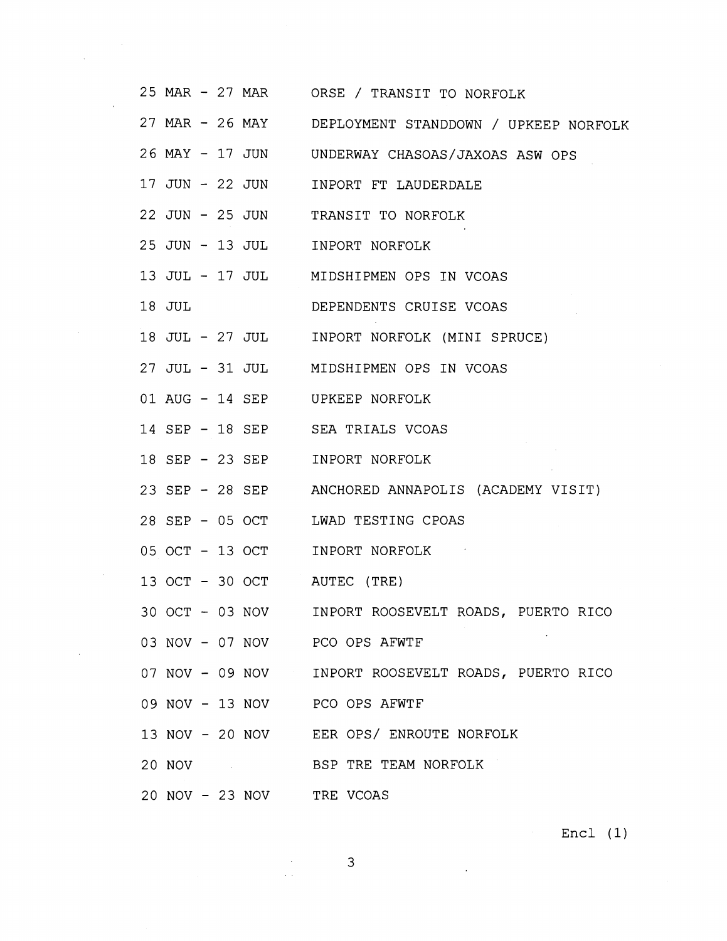|        |  |  | 25 MAR - 27 MAR ORSE / TRANSIT TO NORFOLK             |
|--------|--|--|-------------------------------------------------------|
|        |  |  | 27 MAR - 26 MAY DEPLOYMENT STANDDOWN / UPKEEP NORFOLK |
|        |  |  | 26 MAY - 17 JUN UNDERWAY CHASOAS/JAXOAS ASW OPS       |
|        |  |  | 17 JUN - 22 JUN INPORT FT LAUDERDALE                  |
|        |  |  | 22 JUN - 25 JUN TRANSIT TO NORFOLK                    |
|        |  |  | 25 JUN - 13 JUL INPORT NORFOLK                        |
|        |  |  | 13 JUL - 17 JUL MIDSHIPMEN OPS IN VCOAS               |
| 18 JUL |  |  | DEPENDENTS CRUISE VCOAS                               |
|        |  |  | 18 JUL - 27 JUL INPORT NORFOLK (MINI SPRUCE)          |
|        |  |  | 27 JUL - 31 JUL MIDSHIPMEN OPS IN VCOAS               |
|        |  |  | 01 AUG - 14 SEP UPKEEP NORFOLK                        |
|        |  |  | 14 SEP - 18 SEP SEA TRIALS VCOAS                      |
|        |  |  | 18 SEP - 23 SEP INPORT NORFOLK                        |
|        |  |  | 23 SEP - 28 SEP ANCHORED ANNAPOLIS (ACADEMY VISIT)    |
|        |  |  | 28 SEP - 05 OCT LWAD TESTING CPOAS                    |
|        |  |  | 05 OCT - 13 OCT INPORT NORFOLK                        |
|        |  |  | 13 OCT - 30 OCT AUTEC (TRE)                           |
|        |  |  | 30 OCT - 03 NOV INPORT ROOSEVELT ROADS, PUERTO RICO   |
|        |  |  | 03 NOV - 07 NOV PCO OPS AFWTF                         |
|        |  |  | 07 NOV - 09 NOV INPORT ROOSEVELT ROADS, PUERTO RICO   |
|        |  |  | 09 NOV - 13 NOV PCO OPS AFWTF                         |
|        |  |  | 13 NOV - 20 NOV EER OPS/ ENROUTE NORFOLK              |
|        |  |  | 20 NOV BSP TRE TEAM NORFOLK                           |
|        |  |  | 20 NOV - 23 NOV TRE VCOAS                             |

 $\label{eq:2.1} \frac{1}{\sqrt{2}}\int_{\mathbb{R}^3} \frac{1}{\sqrt{2}}\left(\frac{1}{\sqrt{2}}\right)^2\frac{1}{\sqrt{2}}\left(\frac{1}{\sqrt{2}}\right)^2\frac{1}{\sqrt{2}}\left(\frac{1}{\sqrt{2}}\right)^2.$ 

 $\mathcal{L}^{\text{max}}_{\text{max}}$  ,  $\mathcal{L}^{\text{max}}_{\text{max}}$ 

Encl (1)

 $\mathcal{L}(\mathcal{A})$  and  $\mathcal{L}(\mathcal{A})$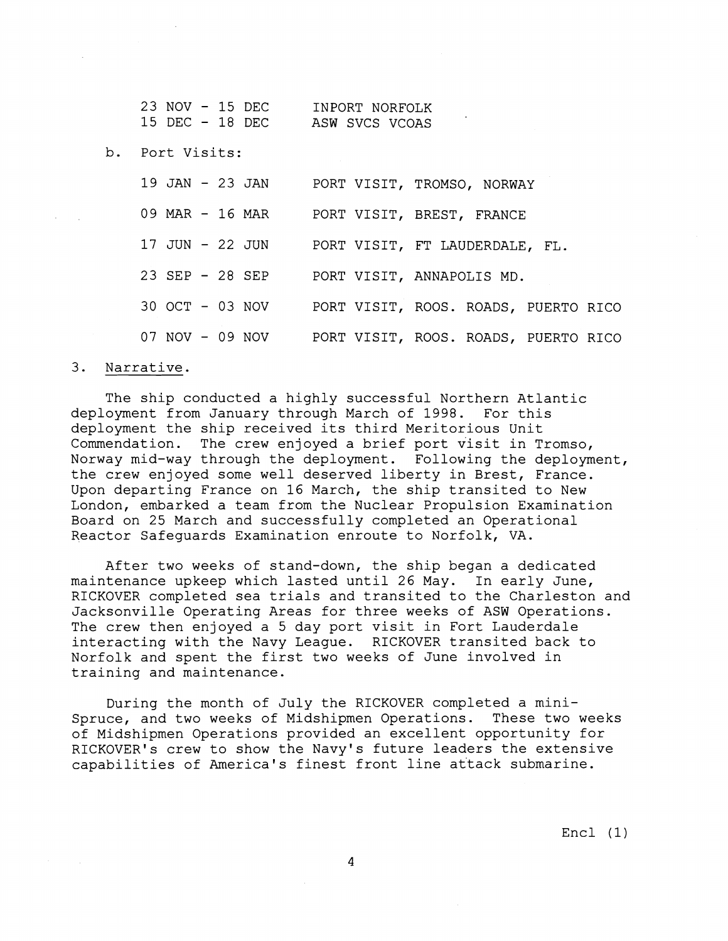| 23 NOV - 15 DEC |  | INPORT NORFOLK |
|-----------------|--|----------------|
| 15 DEC - 18 DEC |  | ASW SVCS VCOAS |

b. Port Visits:

| 19 JAN - 23 JAN | PORT VISIT, TROMSO, NORWAY           |
|-----------------|--------------------------------------|
| 09 MAR - 16 MAR | PORT VISIT, BREST, FRANCE            |
| 17 JUN - 22 JUN | PORT VISIT, FT LAUDERDALE, FL.       |
| 23 SEP - 28 SEP | PORT VISIT, ANNAPOLIS MD.            |
| 30 OCT - 03 NOV | PORT VISIT, ROOS. ROADS, PUERTO RICO |
| 07 NOV - 09 NOV | PORT VISIT, ROOS. ROADS, PUERTO RICO |

## 3. Narrative.

The ship conducted a highly successful Northern Atlantic deployment from January through March of 1998. For this deployment the ship received its third Meritorious Unit Commendation. The crew enjoyed a brief port visit in Tromso, Norway mid-way through the deployment. Following the deployment, the crew enjoyed some well deserved liberty in Brest, France. Upon departing France on 16 March, the ship transited to New London, embarked a team from the Nuclear Propulsion Examination Board on 25 March and successfully completed an Operational Reactor Safeguards Examination enroute to Norfolk, VA.

After two weeks of stand-down, the ship began a dedicated maintenance upkeep which lasted until 26 May. In early June, RICKOVER completed sea trials and transited to the Charleston and Jacksonville Operating Areas for three weeks of ASW Operations. The crew then enjoyed a 5 day port visit in Fort Lauderdale interacting with the Navy League. RICKOVER transited back to Norfolk and spent the first two weeks of June involved in training and maintenance.

During the month of July the RICKOVER completed a mini-Spruce, and two weeks of Midshipmen Operations. These two weeks of Midshipmen Operations provided an excellent opportunity for RICKOVER'S crew to show the Navy's future leaders the extensive capabilities of America's finest front line attack submarine.

Encl (1)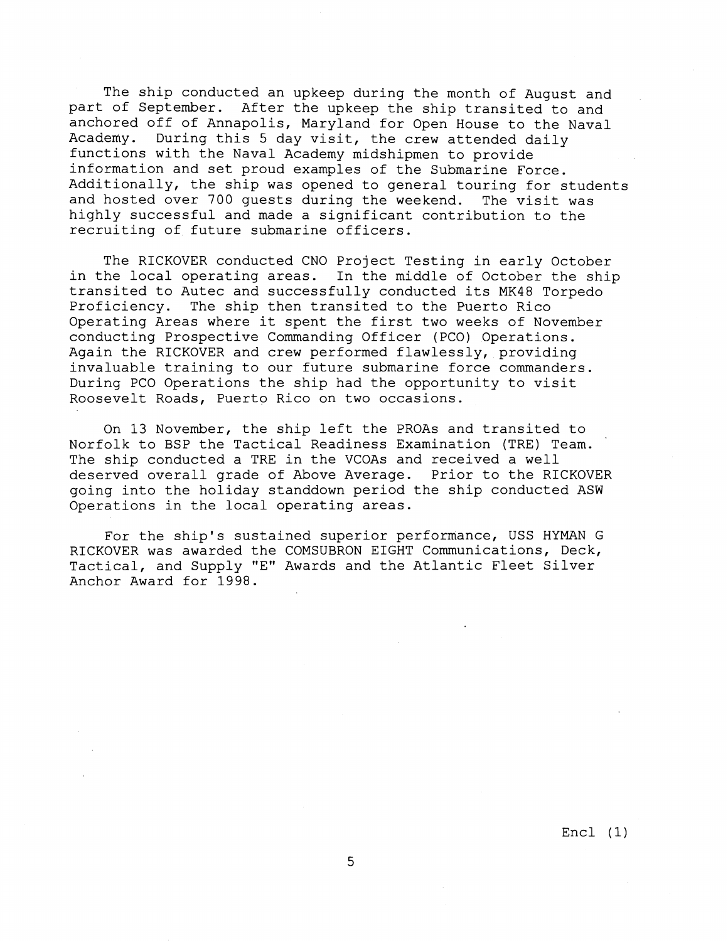The ship conducted an upkeep during the month of August and part of September. After the upkeep the ship transited to and anchored off of Annapolis, Maryland for Open House to the Naval Academy. During this 5 day visit, the crew attended daily functions with the Naval Academy midshipmen to provide information and set proud examples of the Submarine Force. Additionally, the ship was opened to general touring for students and hosted over 700 guests during the weekend. The visit was highly successful and made a significant contribution to the recruiting of future submarine officers.

The RICKOVER conducted CNO Project Testing in early October in the local operating areas. In the middle of October the ship transited to Autec and successfully conducted its MK48 Torpedo Proficiency. The ship then transited to the Puerto Rico Operating Areas where it spent the first two weeks of November conducting Prospective Commanding Officer (PCO) Operations. Again the RICKOVER and crew performed flawlessly, providing invaluable training to our future submarine force commanders. During PC0 Operations the ship had the opportunity to visit Roosevelt Roads, Puerto Rico on two occasions.

On 13 November, the ship left the PROAs and transited to Norfolk to BSP the Tactical Readiness Examination (TRE) Team. ' The ship conducted a TRE in the VCOAs and received a well deserved overall grade of Above Average. Prior to the RICKOVER going into the holiday standdown period the ship conducted ASW Operations in the local operating areas.

For the ship's sustained superior performance, USS HYMAN G RICKOVER was awarded the COMSUBRON EIGHT Communications, Deck, Tactical, and Supply "E" Awards and the Atlantic Fleet Silver Anchor Award for 1998.

Encl (1)